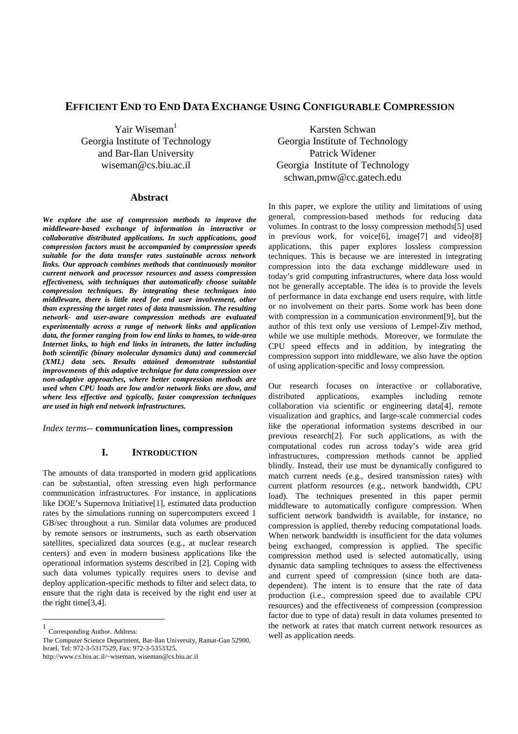# **EFFICIENT END TO END DATA EXCHANGE USING CONFIGURABLE COMPRESSION**

Yair Wiseman $<sup>1</sup>$ </sup> Georgia Institute of Technology and Bar-Ilan University wiseman@cs.biu.ac.il

## **Abstract**

*We explore the use of compression methods to improve the middleware-based exchange of information in interactive or collaborative distributed applications. In such applications, good compression factors must be accompanied by compression speeds suitable for the data transfer rates sustainable across network links. Our approach combines methods that continuously monitor current network and processor resources and assess compression effectiveness, with techniques that automatically choose suitable compression techniques. By integrating these techniques into middleware, there is little need for end user involvement, other than expressing the target rates of data transmission. The resulting network- and user-aware compression methods are evaluated experimentally across a range of network links and application data, the former ranging from low end links to homes, to wide-area Internet links, to high end links in intranets, the latter including both scientific (binary molecular dynamics data) and commercial (XML) data sets. Results attained demonstrate substantial improvements of this adaptive technique for data compression over non-adaptive approaches, where better compression methods are used when CPU loads are low and/or network links are slow, and where less effective and typically, faster compression techniques are used in high end network infrastructures.* 

*Index terms--* **communication lines, compression**

### **I. INTRODUCTION**

The amounts of data transported in modern grid applications can be substantial, often stressing even high performance communication infrastructures. For instance, in applications like DOE's Supernova Initiative[1], estimated data production rates by the simulations running on supercomputers exceed 1 GB/sec throughout a run. Similar data volumes are produced by remote sensors or instruments, such as earth observation satellites, specialized data sources (e.g., at nuclear research centers) and even in modern business applications like the operational information systems described in [2]. Coping with such data volumes typically requires users to devise and deploy application-specific methods to filter and select data, to ensure that the right data is received by the right end user at the right time[3,4].

-

http://www.cs.biu.ac.il/~wiseman, wiseman@cs.biu.ac.il

Karsten Schwan Georgia Institute of Technology Patrick Widener Georgia Institute of Technology schwan,pmw@cc.gatech.edu

In this paper, we explore the utility and limitations of using general, compression-based methods for reducing data volumes. In contrast to the lossy compression methods[5] used in previous work, for voice[6], image[7] and video[8] applications, this paper explores lossless compression techniques. This is because we are interested in integrating compression into the data exchange middleware used in today's grid computing infrastructures, where data loss would not be generally acceptable. The idea is to provide the levels of performance in data exchange end users require, with little or no involvement on their parts. Some work has been done with compression in a communication environment[9], but the author of this text only use versions of Lempel-Ziv method, while we use multiple methods. Moreover, we formulate the CPU speed effects and in addition, by integrating the compression support into middleware, we also have the option of using application-specific and lossy compression.

Our research focuses on interactive or collaborative, distributed applications, examples including remote collaboration via scientific or engineering data[4], remote visualization and graphics, and large-scale commercial codes like the operational information systems described in our previous research[2]. For such applications, as with the computational codes run across today's wide area grid infrastructures, compression methods cannot be applied blindly. Instead, their use must be dynamically configured to match current needs (e.g., desired transmission rates) with current platform resources (e.g., network bandwidth, CPU load). The techniques presented in this paper permit middleware to automatically configure compression. When sufficient network bandwidth is available, for instance, no compression is applied, thereby reducing computational loads. When network bandwidth is insufficient for the data volumes being exchanged, compression is applied. The specific compression method used is selected automatically, using dynamic data sampling techniques to assess the effectiveness and current speed of compression (since both are datadependent). The intent is to ensure that the rate of data production (i.e., compression speed due to available CPU resources) and the effectiveness of compression (compression factor due to type of data) result in data volumes presented to the network at rates that match current network resources as well as application needs.

<sup>1</sup> Corresponding Author. Address:

The Computer Science Department, Bar-Ilan University, Ramat-Gan 52900, Israel, Tel: 972-3-5317529, Fax: 972-3-5353325,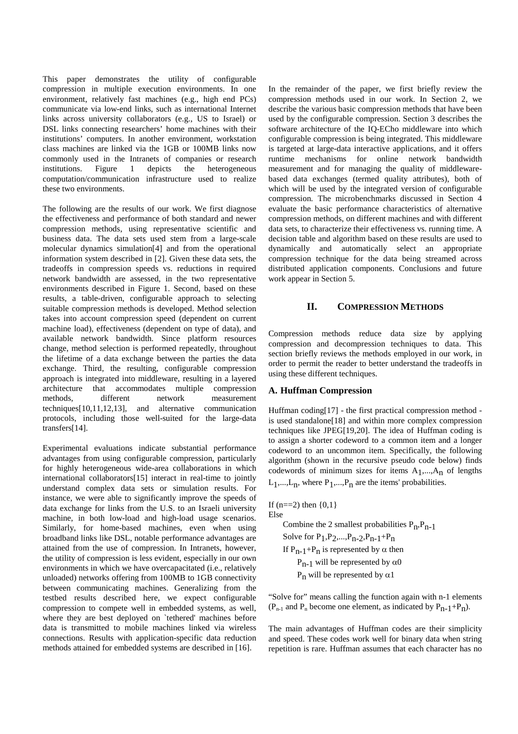This paper demonstrates the utility of configurable compression in multiple execution environments. In one environment, relatively fast machines (e.g., high end PCs) communicate via low-end links, such as international Internet links across university collaborators (e.g., US to Israel) or DSL links connecting researchers' home machines with their institutions' computers. In another environment, workstation class machines are linked via the 1GB or 100MB links now commonly used in the Intranets of companies or research institutions. Figure 1 depicts the heterogeneous computation/communication infrastructure used to realize these two environments.

The following are the results of our work. We first diagnose the effectiveness and performance of both standard and newer compression methods, using representative scientific and business data. The data sets used stem from a large-scale molecular dynamics simulation[4] and from the operational information system described in [2]. Given these data sets, the tradeoffs in compression speeds vs. reductions in required network bandwidth are assessed, in the two representative environments described in Figure 1. Second, based on these results, a table-driven, configurable approach to selecting suitable compression methods is developed. Method selection takes into account compression speed (dependent on current machine load), effectiveness (dependent on type of data), and available network bandwidth. Since platform resources change, method selection is performed repeatedly, throughout the lifetime of a data exchange between the parties the data exchange. Third, the resulting, configurable compression approach is integrated into middleware, resulting in a layered architecture that accommodates multiple compression methods, different network measurement techniques[10,11,12,13], and alternative communication protocols, including those well-suited for the large-data transfers[14].

Experimental evaluations indicate substantial performance advantages from using configurable compression, particularly for highly heterogeneous wide-area collaborations in which international collaborators[15] interact in real-time to jointly understand complex data sets or simulation results. For instance, we were able to significantly improve the speeds of data exchange for links from the U.S. to an Israeli university machine, in both low-load and high-load usage scenarios. Similarly, for home-based machines, even when using broadband links like DSL, notable performance advantages are attained from the use of compression. In Intranets, however, the utility of compression is less evident, especially in our own environments in which we have overcapacitated (i.e., relatively unloaded) networks offering from 100MB to 1GB connectivity between communicating machines. Generalizing from the testbed results described here, we expect configurable compression to compete well in embedded systems, as well, where they are best deployed on `tethered' machines before data is transmitted to mobile machines linked via wireless connections. Results with application-specific data reduction methods attained for embedded systems are described in [16].

In the remainder of the paper, we first briefly review the compression methods used in our work. In Section 2, we describe the various basic compression methods that have been used by the configurable compression. Section 3 describes the software architecture of the IQ-ECho middleware into which configurable compression is being integrated. This middleware is targeted at large-data interactive applications, and it offers runtime mechanisms for online network bandwidth measurement and for managing the quality of middlewarebased data exchanges (termed quality attributes), both of which will be used by the integrated version of configurable compression. The microbenchmarks discussed in Section 4 evaluate the basic performance characteristics of alternative compression methods, on different machines and with different data sets, to characterize their effectiveness vs. running time. A decision table and algorithm based on these results are used to dynamically and automatically select an appropriate compression technique for the data being streamed across distributed application components. Conclusions and future work appear in Section 5.

## **II. COMPRESSION METHODS**

Compression methods reduce data size by applying compression and decompression techniques to data. This section briefly reviews the methods employed in our work, in order to permit the reader to better understand the tradeoffs in using these different techniques.

### **A. Huffman Compression**

Huffman coding[17] - the first practical compression method is used standalone[18] and within more complex compression techniques like JPEG[19,20]. The idea of Huffman coding is to assign a shorter codeword to a common item and a longer codeword to an uncommon item. Specifically, the following algorithm (shown in the recursive pseudo code below) finds codewords of minimum sizes for items  $A_1$ ,..., $A_n$  of lengths  $L_1,...,L_n$ , where  $P_1,...,P_n$  are the items' probabilities.

If  $(n == 2)$  then  $\{0, 1\}$ Else Combine the 2 smallest probabilities  $P_n, P_{n-1}$ Solve for  $P_1, P_2, ..., P_{n-2}, P_{n-1} + P_n$ If  $P_{n-1}+P_n$  is represented by  $\alpha$  then P<sub>n-1</sub> will be represented by α0 P<sub>n</sub> will be represented by α1

"Solve for" means calling the function again with n-1 elements  $(P_{n-1}$  and  $P_n$  become one element, as indicated by  $P_{n-1}+P_n$ ).

The main advantages of Huffman codes are their simplicity and speed. These codes work well for binary data when string repetition is rare. Huffman assumes that each character has no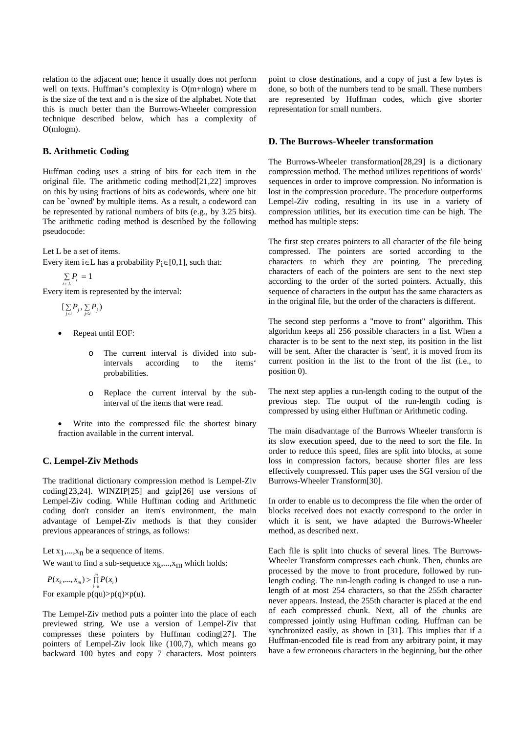relation to the adjacent one; hence it usually does not perform well on texts. Huffman's complexity is O(m+nlogn) where m is the size of the text and n is the size of the alphabet. Note that this is much better than the Burrows-Wheeler compression technique described below, which has a complexity of O(mlogm).

## **B. Arithmetic Coding**

Huffman coding uses a string of bits for each item in the original file. The arithmetic coding method[21,22] improves on this by using fractions of bits as codewords, where one bit can be `owned' by multiple items. As a result, a codeword can be represented by rational numbers of bits (e.g., by 3.25 bits). The arithmetic coding method is described by the following pseudocode:

Let L be a set of items.

Every item i∈L has a probability  $P_i \in [0,1]$ , such that:

$$
\sum_{i \in L} P_i = 1
$$

Every item is represented by the interval:

$$
[\sum_{j
$$

- Repeat until EOF:
	- o The current interval is divided into subintervals according to the items' probabilities.
	- o Replace the current interval by the subinterval of the items that were read.
- Write into the compressed file the shortest binary fraction available in the current interval.

# **C. Lempel-Ziv Methods**

The traditional dictionary compression method is Lempel-Ziv coding[23,24]. WINZIP[25] and gzip[26] use versions of Lempel-Ziv coding. While Huffman coding and Arithmetic coding don't consider an item's environment, the main advantage of Lempel-Ziv methods is that they consider previous appearances of strings, as follows:

Let  $x_1,...,x_n$  be a sequence of items.

We want to find a sub-sequence  $x_k$ ,..., $x_m$  which holds:

For example  $p(qu) > p(q) \times p(u)$ .  $P(x_k, ..., x_m) > \prod_{i=k}^{m} P(x_i)$ 

The Lempel-Ziv method puts a pointer into the place of each previewed string. We use a version of Lempel-Ziv that compresses these pointers by Huffman coding[27]. The pointers of Lempel-Ziv look like (100,7), which means go backward 100 bytes and copy 7 characters. Most pointers point to close destinations, and a copy of just a few bytes is done, so both of the numbers tend to be small. These numbers are represented by Huffman codes, which give shorter representation for small numbers.

# **D. The Burrows-Wheeler transformation**

The Burrows-Wheeler transformation[28,29] is a dictionary compression method. The method utilizes repetitions of words' sequences in order to improve compression. No information is lost in the compression procedure. The procedure outperforms Lempel-Ziv coding, resulting in its use in a variety of compression utilities, but its execution time can be high. The method has multiple steps:

The first step creates pointers to all character of the file being compressed. The pointers are sorted according to the characters to which they are pointing. The preceding characters of each of the pointers are sent to the next step according to the order of the sorted pointers. Actually, this sequence of characters in the output has the same characters as in the original file, but the order of the characters is different.

The second step performs a "move to front" algorithm. This algorithm keeps all 256 possible characters in a list. When a character is to be sent to the next step, its position in the list will be sent. After the character is `sent', it is moved from its current position in the list to the front of the list (i.e., to position 0).

The next step applies a run-length coding to the output of the previous step. The output of the run-length coding is compressed by using either Huffman or Arithmetic coding.

The main disadvantage of the Burrows Wheeler transform is its slow execution speed, due to the need to sort the file. In order to reduce this speed, files are split into blocks, at some loss in compression factors, because shorter files are less effectively compressed. This paper uses the SGI version of the Burrows-Wheeler Transform[30].

In order to enable us to decompress the file when the order of blocks received does not exactly correspond to the order in which it is sent, we have adapted the Burrows-Wheeler method, as described next.

Each file is split into chucks of several lines. The Burrows-Wheeler Transform compresses each chunk. Then, chunks are processed by the move to front procedure, followed by runlength coding. The run-length coding is changed to use a runlength of at most 254 characters, so that the 255th character never appears. Instead, the 255th character is placed at the end of each compressed chunk. Next, all of the chunks are compressed jointly using Huffman coding. Huffman can be synchronized easily, as shown in [31]. This implies that if a Huffman-encoded file is read from any arbitrary point, it may have a few erroneous characters in the beginning, but the other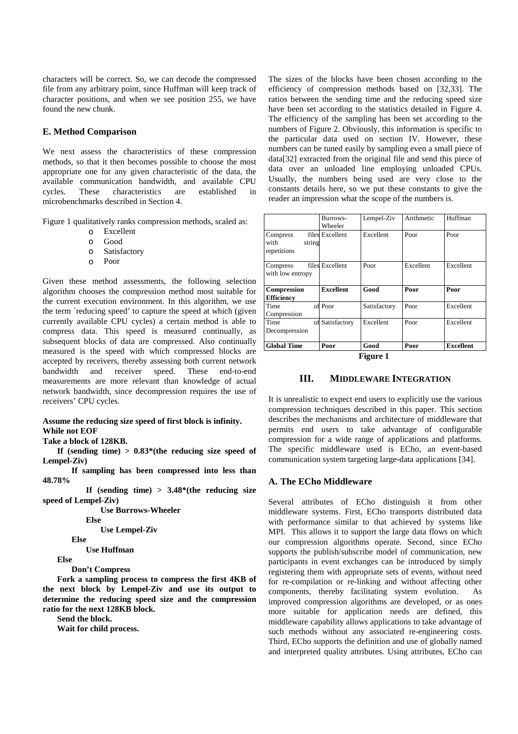characters will be correct. So, we can decode the compressed file from any arbitrary point, since Huffman will keep track of character positions, and when we see position 255, we have found the new chunk.

### **E. Method Comparison**

We next assess the characteristics of these compression methods, so that it then becomes possible to choose the most appropriate one for any given characteristic of the data, the available communication bandwidth, and available CPU cycles. These characteristics are established in microbenchmarks described in Section 4.

Figure 1 qualitatively ranks compression methods, scaled as:

- o Excellent
- o Good
- o Satisfactory
- o Poor

Given these method assessments, the following selection algorithm chooses the compression method most suitable for the current execution environment. In this algorithm, we use the term `reducing speed' to capture the speed at which (given currently available CPU cycles) a certain method is able to compress data. This speed is measured continually, as subsequent blocks of data are compressed. Also continually measured is the speed with which compressed blocks are accepted by receivers, thereby assessing both current network bandwidth and receiver speed. These end-to-end measurements are more relevant than knowledge of actual network bandwidth, since decompression requires the use of receivers' CPU cycles.

#### **Assume the reducing size speed of first block is infinity. While not EOF**

#### **Take a block of 128KB.**

 **If (sending time) > 0.83\*(the reducing size speed of Lempel-Ziv)** 

 **If sampling has been compressed into less than 48.78%** 

 **If (sending time) > 3.48\*(the reducing size speed of Lempel-Ziv)** 

 **Use Burrows-Wheeler** 

 **Else** 

 **Use Lempel-Ziv** 

 **Else** 

 **Use Huffman** 

 **Else** 

 **Don't Compress** 

 **Fork a sampling process to compress the first 4KB of the next block by Lempel-Ziv and use its output to determine the reducing speed size and the compression ratio for the next 128KB block.** 

 **Send the block.** 

 **Wait for child process.** 

The sizes of the blocks have been chosen according to the efficiency of compression methods based on [32,33]. The ratios between the sending time and the reducing speed size have been set according to the statistics detailed in Figure 4. The efficiency of the sampling has been set according to the numbers of Figure 2. Obviously, this information is specific to the particular data used on section IV. However, these numbers can be tuned easily by sampling even a small piece of data[32] extracted from the original file and send this piece of data over an unloaded line employing unloaded CPUs. Usually, the numbers being used are very close to the constants details here, so we put these constants to give the reader an impression what the scope of the numbers is.

|                    | Burrows-         | Lempel-Ziv   | Arithmetic | Huffman          |
|--------------------|------------------|--------------|------------|------------------|
|                    | Wheeler          |              |            |                  |
| Compress           | files Excellent  | Excellent    | Poor       | Poor             |
| with<br>string     |                  |              |            |                  |
| repetitions        |                  |              |            |                  |
|                    |                  |              |            |                  |
| Compress           | files Excellent  | Poor         | Excellent  | Excellent        |
| with low entropy   |                  |              |            |                  |
|                    |                  |              |            |                  |
| Compression        | <b>Excellent</b> | Good         | Poor       | Poor             |
| <b>Efficiency</b>  |                  |              |            |                  |
| Time               | of Poor          | Satisfactory | Poor       | Excellent        |
| Compression        |                  |              |            |                  |
| Time               | of Satisfactory  | Excellent    | Poor       | Excellent        |
| Decompression      |                  |              |            |                  |
|                    |                  |              |            |                  |
| <b>Global Time</b> | Poor             | Good         | Poor       | <b>Excellent</b> |
| Figure 1           |                  |              |            |                  |

# **III. MIDDLEWARE INTEGRATION**

It is unrealistic to expect end users to explicitly use the various compression techniques described in this paper. This section describes the mechanisms and architecture of middleware that permits end users to take advantage of configurable compression for a wide range of applications and platforms. The specific middleware used is ECho, an event-based communication system targeting large-data applications [34].

### **A. The ECho Middleware**

Several attributes of ECho distinguish it from other middleware systems. First, ECho transports distributed data with performance similar to that achieved by systems like MPI. This allows it to support the large data flows on which our compression algorithms operate. Second, since ECho supports the publish/subscribe model of communication, new participants in event exchanges can be introduced by simply registering them with appropriate sets of events, without need for re-compilation or re-linking and without affecting other components, thereby facilitating system evolution. As improved compression algorithms are developed, or as ones more suitable for application needs are defined, this middleware capability allows applications to take advantage of such methods without any associated re-engineering costs. Third, ECho supports the definition and use of globally named and interpreted quality attributes. Using attributes, ECho can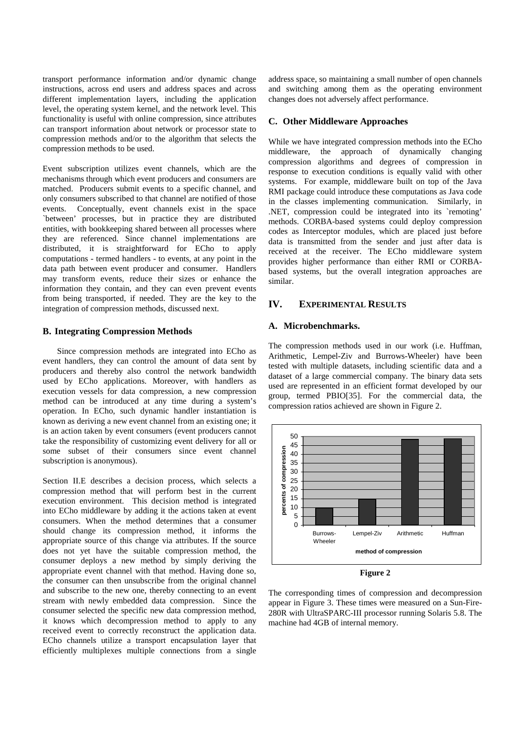transport performance information and/or dynamic change instructions, across end users and address spaces and across different implementation layers, including the application level, the operating system kernel, and the network level. This functionality is useful with online compression, since attributes can transport information about network or processor state to compression methods and/or to the algorithm that selects the compression methods to be used.

Event subscription utilizes event channels, which are the mechanisms through which event producers and consumers are matched. Producers submit events to a specific channel, and only consumers subscribed to that channel are notified of those events. Conceptually, event channels exist in the space `between' processes, but in practice they are distributed entities, with bookkeeping shared between all processes where they are referenced. Since channel implementations are distributed, it is straightforward for ECho to apply computations - termed handlers - to events, at any point in the data path between event producer and consumer. Handlers may transform events, reduce their sizes or enhance the information they contain, and they can even prevent events from being transported, if needed. They are the key to the integration of compression methods, discussed next.

### **B. Integrating Compression Methods**

 Since compression methods are integrated into ECho as event handlers, they can control the amount of data sent by producers and thereby also control the network bandwidth used by ECho applications. Moreover, with handlers as execution vessels for data compression, a new compression method can be introduced at any time during a system's operation. In ECho, such dynamic handler instantiation is known as deriving a new event channel from an existing one; it is an action taken by event consumers (event producers cannot take the responsibility of customizing event delivery for all or some subset of their consumers since event channel subscription is anonymous).

Section II.E describes a decision process, which selects a compression method that will perform best in the current execution environment. This decision method is integrated into ECho middleware by adding it the actions taken at event consumers. When the method determines that a consumer should change its compression method, it informs the appropriate source of this change via attributes. If the source does not yet have the suitable compression method, the consumer deploys a new method by simply deriving the appropriate event channel with that method. Having done so, the consumer can then unsubscribe from the original channel and subscribe to the new one, thereby connecting to an event stream with newly embedded data compression. Since the consumer selected the specific new data compression method, it knows which decompression method to apply to any received event to correctly reconstruct the application data. ECho channels utilize a transport encapsulation layer that efficiently multiplexes multiple connections from a single

address space, so maintaining a small number of open channels and switching among them as the operating environment changes does not adversely affect performance.

### **C. Other Middleware Approaches**

While we have integrated compression methods into the ECho middleware, the approach of dynamically changing compression algorithms and degrees of compression in response to execution conditions is equally valid with other systems. For example, middleware built on top of the Java RMI package could introduce these computations as Java code in the classes implementing communication. Similarly, in .NET, compression could be integrated into its `remoting' methods. CORBA-based systems could deploy compression codes as Interceptor modules, which are placed just before data is transmitted from the sender and just after data is received at the receiver. The ECho middleware system provides higher performance than either RMI or CORBAbased systems, but the overall integration approaches are similar.

# **IV. EXPERIMENTAL RESULTS**

### **A. Microbenchmarks.**

The compression methods used in our work (i.e. Huffman, Arithmetic, Lempel-Ziv and Burrows-Wheeler) have been tested with multiple datasets, including scientific data and a dataset of a large commercial company. The binary data sets used are represented in an efficient format developed by our group, termed PBIO[35]. For the commercial data, the compression ratios achieved are shown in Figure 2.



**Figure 2** 

The corresponding times of compression and decompression appear in Figure 3. These times were measured on a Sun-Fire-280R with UltraSPARC-III processor running Solaris 5.8. The machine had 4GB of internal memory.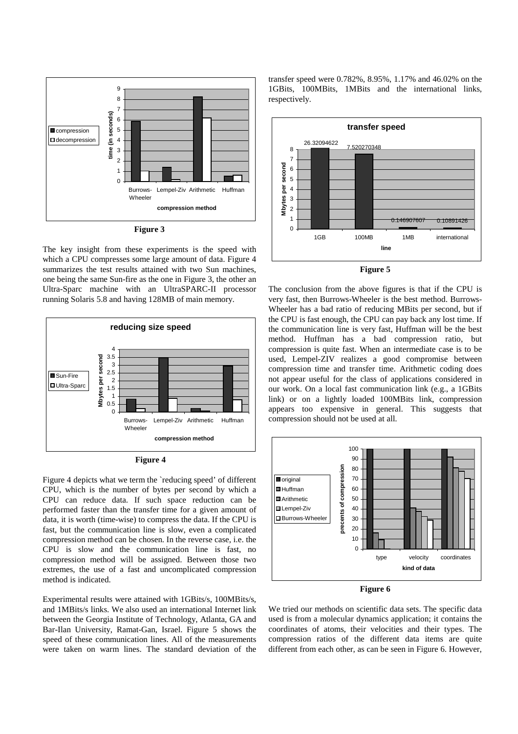

**Figure 3** 

The key insight from these experiments is the speed with which a CPU compresses some large amount of data. Figure 4 summarizes the test results attained with two Sun machines, one being the same Sun-fire as the one in Figure 3, the other an Ultra-Sparc machine with an UltraSPARC-II processor running Solaris 5.8 and having 128MB of main memory.



**Figure 4** 

Figure 4 depicts what we term the `reducing speed' of different CPU, which is the number of bytes per second by which a CPU can reduce data. If such space reduction can be performed faster than the transfer time for a given amount of data, it is worth (time-wise) to compress the data. If the CPU is fast, but the communication line is slow, even a complicated compression method can be chosen. In the reverse case, i.e. the CPU is slow and the communication line is fast, no compression method will be assigned. Between those two extremes, the use of a fast and uncomplicated compression method is indicated.

Experimental results were attained with 1GBits/s, 100MBits/s, and 1MBits/s links. We also used an international Internet link between the Georgia Institute of Technology, Atlanta, GA and Bar-Ilan University, Ramat-Gan, Israel. Figure 5 shows the speed of these communication lines. All of the measurements were taken on warm lines. The standard deviation of the

transfer speed were 0.782%, 8.95%, 1.17% and 46.02% on the 1GBits, 100MBits, 1MBits and the international links, respectively.



**Figure 5** 

The conclusion from the above figures is that if the CPU is very fast, then Burrows-Wheeler is the best method. Burrows-Wheeler has a bad ratio of reducing MBits per second, but if the CPU is fast enough, the CPU can pay back any lost time. If the communication line is very fast, Huffman will be the best method. Huffman has a bad compression ratio, but compression is quite fast. When an intermediate case is to be used, Lempel-ZIV realizes a good compromise between compression time and transfer time. Arithmetic coding does not appear useful for the class of applications considered in our work. On a local fast communication link (e.g., a 1GBits link) or on a lightly loaded 100MBits link, compression appears too expensive in general. This suggests that compression should not be used at all.





We tried our methods on scientific data sets. The specific data used is from a molecular dynamics application; it contains the coordinates of atoms, their velocities and their types. The compression ratios of the different data items are quite different from each other, as can be seen in Figure 6. However,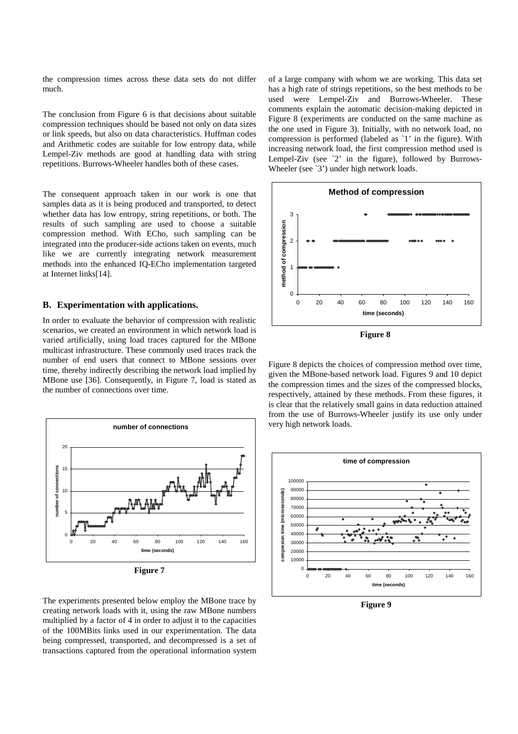the compression times across these data sets do not differ much.

The conclusion from Figure 6 is that decisions about suitable compression techniques should be based not only on data sizes or link speeds, but also on data characteristics. Huffman codes and Arithmetic codes are suitable for low entropy data, while Lempel-Ziv methods are good at handling data with string repetitions. Burrows-Wheeler handles both of these cases.

The consequent approach taken in our work is one that samples data as it is being produced and transported, to detect whether data has low entropy, string repetitions, or both. The results of such sampling are used to choose a suitable compression method. With ECho, such sampling can be integrated into the producer-side actions taken on events, much like we are currently integrating network measurement methods into the enhanced IQ-ECho implementation targeted at Internet links[14].

#### **B. Experimentation with applications.**

In order to evaluate the behavior of compression with realistic scenarios, we created an environment in which network load is varied artificially, using load traces captured for the MBone multicast infrastructure. These commonly used traces track the number of end users that connect to MBone sessions over time, thereby indirectly describing the network load implied by MBone use [36]. Consequently, in Figure 7, load is stated as the number of connections over time.



**Figure 7**

The experiments presented below employ the MBone trace by creating network loads with it, using the raw MBone numbers multiplied by a factor of 4 in order to adjust it to the capacities of the 100MBits links used in our experimentation. The data being compressed, transported, and decompressed is a set of transactions captured from the operational information system of a large company with whom we are working. This data set has a high rate of strings repetitions, so the best methods to be used were Lempel-Ziv and Burrows-Wheeler. These comments explain the automatic decision-making depicted in Figure 8 (experiments are conducted on the same machine as the one used in Figure 3). Initially, with no network load, no compression is performed (labeled as `1' in the figure). With increasing network load, the first compression method used is Lempel-Ziv (see  $\angle 2'$  in the figure), followed by Burrows-Wheeler (see `3') under high network loads.



**Figure 8**

Figure 8 depicts the choices of compression method over time, given the MBone-based network load. Figures 9 and 10 depict the compression times and the sizes of the compressed blocks, respectively, attained by these methods. From these figures, it is clear that the relatively small gains in data reduction attained from the use of Burrows-Wheeler justify its use only under very high network loads.



**Figure 9**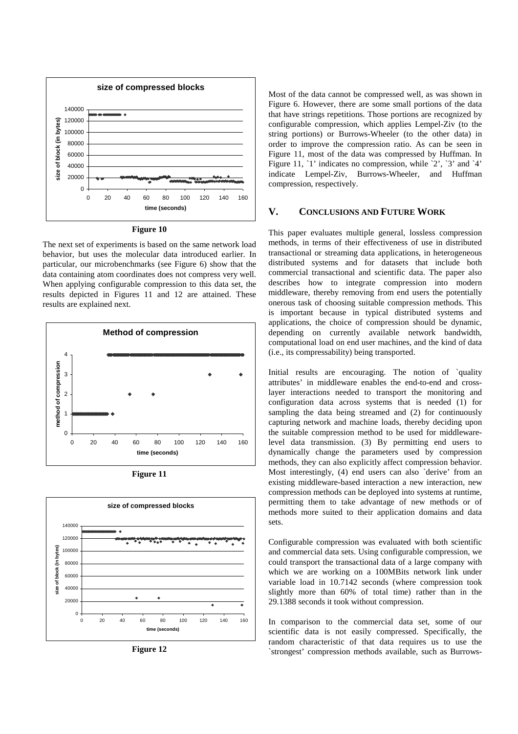



The next set of experiments is based on the same network load behavior, but uses the molecular data introduced earlier. In particular, our microbenchmarks (see Figure 6) show that the data containing atom coordinates does not compress very well. When applying configurable compression to this data set, the results depicted in Figures 11 and 12 are attained. These results are explained next.



**Figure 11**



**Figure 12**

Most of the data cannot be compressed well, as was shown in Figure 6. However, there are some small portions of the data that have strings repetitions. Those portions are recognized by configurable compression, which applies Lempel-Ziv (to the string portions) or Burrows-Wheeler (to the other data) in order to improve the compression ratio. As can be seen in Figure 11, most of the data was compressed by Huffman. In Figure 11, `1' indicates no compression, while `2', `3' and `4' indicate Lempel-Ziv, Burrows-Wheeler, and Huffman compression, respectively.

# **V. CONCLUSIONS AND FUTURE WORK**

This paper evaluates multiple general, lossless compression methods, in terms of their effectiveness of use in distributed transactional or streaming data applications, in heterogeneous distributed systems and for datasets that include both commercial transactional and scientific data. The paper also describes how to integrate compression into modern middleware, thereby removing from end users the potentially onerous task of choosing suitable compression methods. This is important because in typical distributed systems and applications, the choice of compression should be dynamic, depending on currently available network bandwidth, computational load on end user machines, and the kind of data (i.e., its compressability) being transported.

Initial results are encouraging. The notion of `quality attributes' in middleware enables the end-to-end and crosslayer interactions needed to transport the monitoring and configuration data across systems that is needed (1) for sampling the data being streamed and (2) for continuously capturing network and machine loads, thereby deciding upon the suitable compression method to be used for middlewarelevel data transmission. (3) By permitting end users to dynamically change the parameters used by compression methods, they can also explicitly affect compression behavior. Most interestingly, (4) end users can also `derive' from an existing middleware-based interaction a new interaction, new compression methods can be deployed into systems at runtime, permitting them to take advantage of new methods or of methods more suited to their application domains and data sets.

Configurable compression was evaluated with both scientific and commercial data sets. Using configurable compression, we could transport the transactional data of a large company with which we are working on a 100MBits network link under variable load in 10.7142 seconds (where compression took slightly more than 60% of total time) rather than in the 29.1388 seconds it took without compression.

In comparison to the commercial data set, some of our scientific data is not easily compressed. Specifically, the random characteristic of that data requires us to use the `strongest' compression methods available, such as Burrows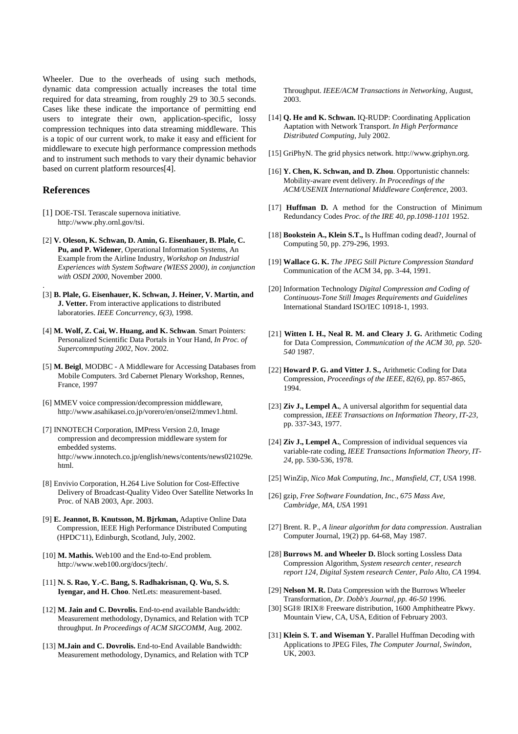Wheeler. Due to the overheads of using such methods, dynamic data compression actually increases the total time required for data streaming, from roughly 29 to 30.5 seconds. Cases like these indicate the importance of permitting end users to integrate their own, application-specific, lossy compression techniques into data streaming middleware. This is a topic of our current work, to make it easy and efficient for middleware to execute high performance compression methods and to instrument such methods to vary their dynamic behavior based on current platform resources[4].

# **References**

.

- [1] DOE-TSI. Terascale supernova initiative. http://www.phy.ornl.gov/tsi.
- [2] **V. Oleson, K. Schwan, D. Amin, G. Eisenhauer, B. Plale, C. Pu, and P. Widener**, Operational Information Systems, An Example from the Airline Industry, *Workshop on Industrial Experiences with System Software (WIESS 2000), in conjunction with OSDI 2000*, November 2000.
- [3] **B. Plale, G. Eisenhauer, K. Schwan, J. Heiner, V. Martin, and J. Vetter.** From interactive applications to distributed laboratories. *IEEE Concurrency, 6(3),* 1998.
- [4] **M. Wolf, Z. Cai, W. Huang, and K. Schwan**. Smart Pointers: Personalized Scientific Data Portals in Your Hand, *In Proc. of Supercommputing 2002*, Nov. 2002.
- [5] **M. Beigl**, MODBC A Middleware for Accessing Databases from Mobile Computers. 3rd Cabernet Plenary Workshop, Rennes, France, 1997
- [6] MMEV voice compression/decompression middleware, http://www.asahikasei.co.jp/vorero/en/onsei2/mmev1.html.
- [7] INNOTECH Corporation, IMPress Version 2.0, Image compression and decompression middleware system for embedded systems. http://www.innotech.co.jp/english/news/contents/news021029e. html.
- [8] Envivio Corporation, H.264 Live Solution for Cost-Effective Delivery of Broadcast-Quality Video Over Satellite Networks In Proc. of NAB 2003, Apr. 2003.
- [9] **E. Jeannot, B. Knutsson, M. Bjrkman,** Adaptive Online Data Compression, IEEE High Performance Distributed Computing (HPDC'11), Edinburgh, Scotland, July, 2002.
- [10] **M. Mathis.** Web100 and the End-to-End problem. http://www.web100.org/docs/jtech/.
- [11] **N. S. Rao, Y.-C. Bang, S. Radhakrisnan, Q. Wu, S. S. Iyengar, and H. Choo**. NetLets: measurement-based.
- [12] **M. Jain and C. Dovrolis.** End-to-end available Bandwidth: Measurement methodology, Dynamics, and Relation with TCP throughput. *In Proceedings of ACM SIGCOMM,* Aug. 2002.
- [13] **M.Jain and C. Dovrolis.** End-to-End Available Bandwidth: Measurement methodology, Dynamics, and Relation with TCP

Throughput. *IEEE/ACM Transactions in Networking,* August, 2003.

- [14] **Q. He and K. Schwan.** IQ-RUDP: Coordinating Application Aaptation with Network Transport. *In High Performance Distributed Computing*, July 2002.
- [15] GriPhyN. The grid physics network. http://www.griphyn.org.
- [16] **Y. Chen, K. Schwan, and D. Zhou**. Opportunistic channels: Mobility-aware event delivery. *In Proceedings of the ACM/USENIX International Middleware Conference,* 2003.
- [17] **Huffman D.** A method for the Construction of Minimum Redundancy Codes *Proc. of the IRE 40, pp.1098-1101* 1952.
- [18] **Bookstein A., Klein S.T.,** Is Huffman coding dead?, Journal of Computing 50, pp. 279-296, 1993.
- [19] **Wallace G. K.** *The JPEG Still Picture Compression Standard*  Communication of the ACM 34, pp. 3-44, 1991.
- [20] Information Technology *Digital Compression and Coding of Continuous-Tone Still Images Requirements and Guidelines*  International Standard ISO/IEC 10918-1, 1993.
- [21] **Witten I. H., Neal R. M. and Cleary J. G.** Arithmetic Coding for Data Compression, *Communication of the ACM 30, pp. 520- 540* 1987.
- [22] **Howard P. G. and Vitter J. S.,** Arithmetic Coding for Data Compression, *Proceedings of the IEEE*, *82(6),* pp. 857-865, 1994.
- [23] **Ziv J., Lempel A.**, A universal algorithm for sequential data compression, *IEEE Transactions on Information Theory, IT-23,* pp. 337-343, 1977.
- [24] **Ziv J., Lempel A.**, Compression of individual sequences via variable-rate coding, *IEEE Transactions Information Theory, IT-24,* pp. 530-536, 1978.
- [25] WinZip, *Nico Mak Computing, Inc., Mansfield, CT, USA* 1998.
- [26] gzip, *Free Software Foundation, Inc., 675 Mass Ave, Cambridge, MA, USA* 1991
- [27] Brent. R. P., *A linear algorithm for data compression*. Australian Computer Journal, 19(2) pp. 64-68, May 1987.
- [28] **Burrows M. and Wheeler D.** Block sorting Lossless Data Compression Algorithm, *System research center, research report 124, Digital System research Center, Palo Alto, CA* 1994.
- [29] **Nelson M. R.** Data Compression with the Burrows Wheeler Transformation, *Dr. Dobb's Journal, pp. 46-50* 1996.
- [30] SGI® IRIX® Freeware distribution, 1600 Amphitheatre Pkwy. Mountain View, CA, USA, Edition of February 2003.
- [31] **Klein S. T. and Wiseman Y.** Parallel Huffman Decoding with Applications to JPEG Files, *The Computer Journal, Swindon,* UK, 2003.